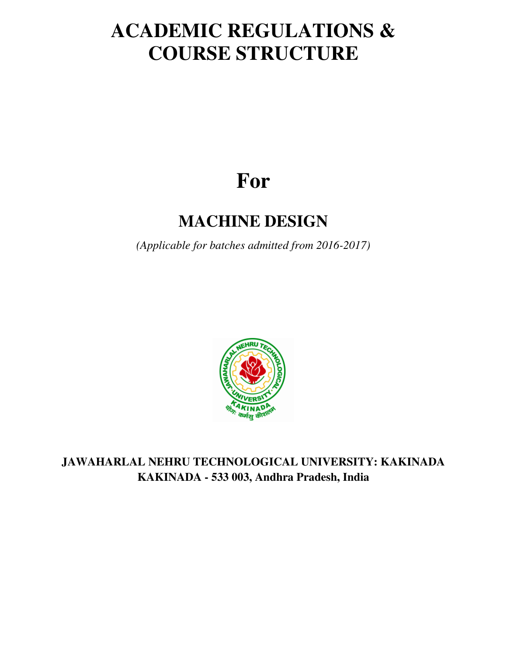# **ACADEMIC REGULATIONS & COURSE STRUCTURE**

# **For**

# **MACHINE DESIGN**

*(Applicable for batches admitted from 2016-2017)* 



**JAWAHARLAL NEHRU TECHNOLOGICAL UNIVERSITY: KAKINADA KAKINADA - 533 003, Andhra Pradesh, India**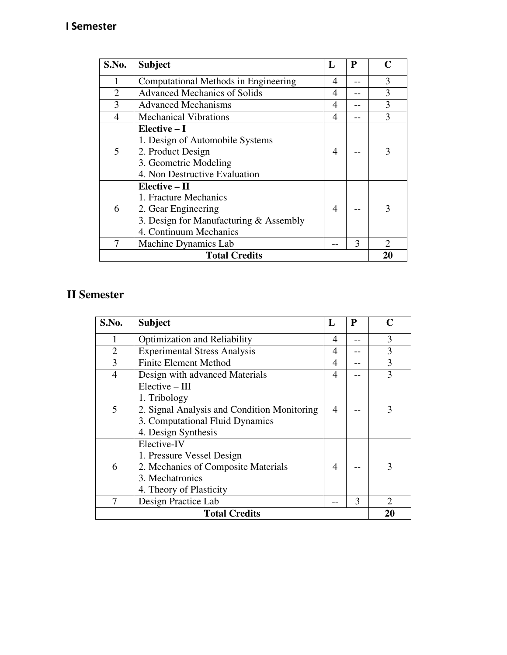# **I Semester**

| S.No.                | <b>Subject</b>                                                                                                                      | L | P  | C                           |
|----------------------|-------------------------------------------------------------------------------------------------------------------------------------|---|----|-----------------------------|
|                      | Computational Methods in Engineering                                                                                                | 4 |    | 3                           |
| $\overline{2}$       | <b>Advanced Mechanics of Solids</b>                                                                                                 | 4 |    | 3                           |
| 3                    | <b>Advanced Mechanisms</b>                                                                                                          | 4 |    | 3                           |
| $\overline{4}$       | <b>Mechanical Vibrations</b>                                                                                                        | 4 |    | 3                           |
| 5                    | Elective $-I$<br>1. Design of Automobile Systems<br>2. Product Design<br>3. Geometric Modeling<br>4. Non Destructive Evaluation     | 4 |    | 3                           |
| 6                    | $Elective - II$<br>1. Fracture Mechanics<br>2. Gear Engineering<br>3. Design for Manufacturing & Assembly<br>4. Continuum Mechanics | 4 |    | 3                           |
| 7                    | Machine Dynamics Lab                                                                                                                |   | 3  | $\mathcal{D}_{\mathcal{A}}$ |
| <b>Total Credits</b> |                                                                                                                                     |   | 20 |                             |

# **II Semester**

| S.No.                | <b>Subject</b>                                                                                                                            | L              | P | Ր  |
|----------------------|-------------------------------------------------------------------------------------------------------------------------------------------|----------------|---|----|
|                      | <b>Optimization and Reliability</b>                                                                                                       | 4              |   | 3  |
| $\overline{2}$       | <b>Experimental Stress Analysis</b>                                                                                                       | 4              |   | 3  |
| 3                    | <b>Finite Element Method</b>                                                                                                              | 4              |   | 3  |
| $\overline{4}$       | Design with advanced Materials                                                                                                            | 4              |   | 3  |
| 5                    | $Electric - III$<br>1. Tribology<br>2. Signal Analysis and Condition Monitoring<br>3. Computational Fluid Dynamics<br>4. Design Synthesis | 4              |   | 3  |
| 6                    | Elective-IV<br>1. Pressure Vessel Design<br>2. Mechanics of Composite Materials<br>3. Mechatronics<br>4. Theory of Plasticity             | $\overline{4}$ |   |    |
| 7                    | Design Practice Lab                                                                                                                       |                | 3 | 2  |
| <b>Total Credits</b> |                                                                                                                                           |                |   | 20 |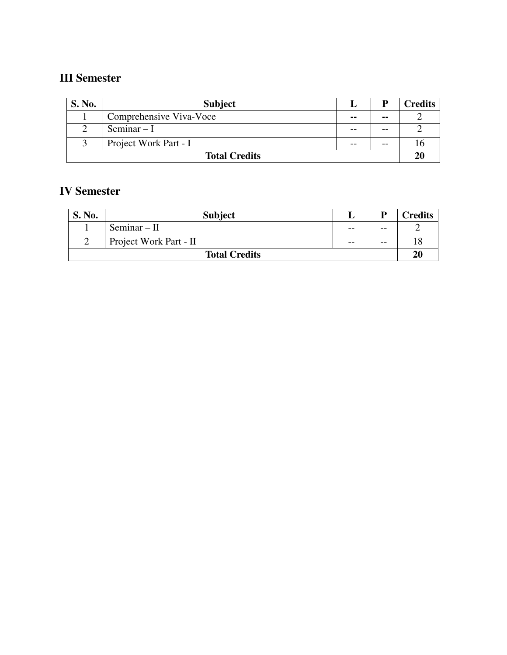# **III Semester**

| <b>S. No.</b>        | <b>Subject</b>          |               | P    | <b>Credits</b> |
|----------------------|-------------------------|---------------|------|----------------|
|                      | Comprehensive Viva-Voce | $\sim$ $\sim$ | --   |                |
|                      | Seminar $-I$            |               | --   |                |
|                      | Project Work Part - I   |               | $ -$ |                |
| <b>Total Credits</b> |                         |               | 20   |                |

# **IV Semester**

| S. No.               | <b>Subject</b>         |       |       | Credits |
|----------------------|------------------------|-------|-------|---------|
|                      | $Seminar - II$         | $- -$ | $- -$ |         |
|                      | Project Work Part - II | $- -$ | $- -$ |         |
| <b>Total Credits</b> |                        |       | 2(    |         |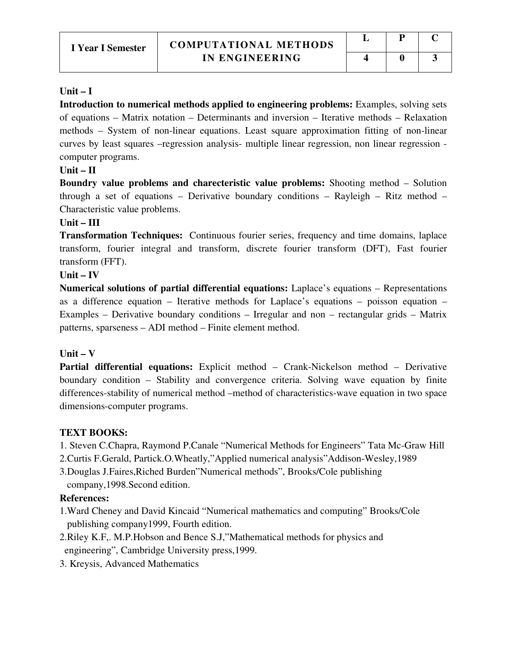#### **Unit – I**

Introduction to numerical methods applied to engineering problems: Examples, solving sets of equations – Matrix notation – Determinants and inversion – Iterative methods – Relaxation methods – System of non-linear equations. Least square approximation fitting of non-linear curves by least squares –regression analysis- multiple linear regression, non linear regression computer programs.

#### **Unit – II**

**Boundry value problems and charecteristic value problems:** Shooting method – Solution through a set of equations – Derivative boundary conditions – Rayleigh – Ritz method – Characteristic value problems.

#### **Unit – III**

**Transformation Techniques:** Continuous fourier series, frequency and time domains, laplace transform, fourier integral and transform, discrete fourier transform (DFT), Fast fourier transform (FFT).

#### **Unit – IV**

**Numerical solutions of partial differential equations:** Laplace's equations – Representations as a difference equation – Iterative methods for Laplace's equations – poisson equation – Examples – Derivative boundary conditions – Irregular and non – rectangular grids – Matrix patterns, sparseness – ADI method – Finite element method.

# **Unit – V**

**Partial differential equations:** Explicit method – Crank-Nickelson method – Derivative boundary condition – Stability and convergence criteria. Solving wave equation by finite differences-stability of numerical method –method of characteristics-wave equation in two space dimensions-computer programs.

# **TEXT BOOKS:**

- 1. Steven C.Chapra, Raymond P.Canale "Numerical Methods for Engineers" Tata Mc-Graw Hill
- 2.Curtis F.Gerald, Partick.O.Wheatly,"Applied numerical analysis"Addison-Wesley,1989
- 3.Douglas J.Faires,Riched Burden"Numerical methods", Brooks/Cole publishing company,1998.Second edition.

# **References:**

- 1.Ward Cheney and David Kincaid "Numerical mathematics and computing" Brooks/Cole publishing company1999, Fourth edition.
- 2.Riley K.F,. M.P.Hobson and Bence S.J,"Mathematical methods for physics and engineering", Cambridge University press,1999.
- 3. Kreysis, Advanced Mathematics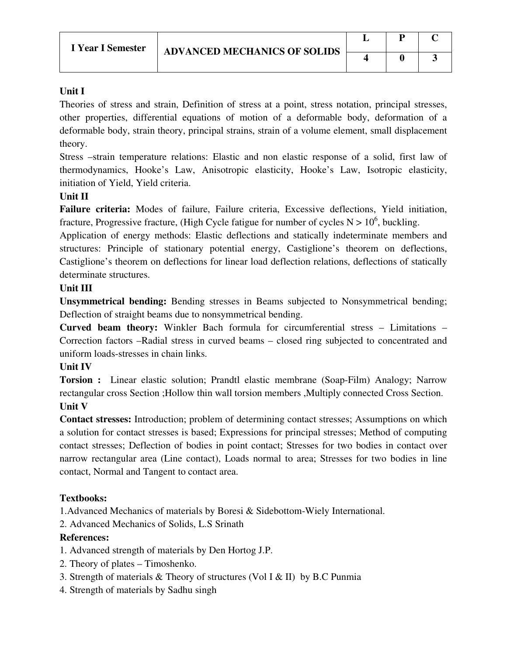# **Unit I**

Theories of stress and strain, Definition of stress at a point, stress notation, principal stresses, other properties, differential equations of motion of a deformable body, deformation of a deformable body, strain theory, principal strains, strain of a volume element, small displacement theory.

Stress –strain temperature relations: Elastic and non elastic response of a solid, first law of thermodynamics, Hooke's Law, Anisotropic elasticity, Hooke's Law, Isotropic elasticity, initiation of Yield, Yield criteria.

# **Unit II**

**Failure criteria:** Modes of failure, Failure criteria, Excessive deflections, Yield initiation, fracture, Progressive fracture, (High Cycle fatigue for number of cycles  $N > 10^6$ , buckling.

Application of energy methods: Elastic deflections and statically indeterminate members and structures: Principle of stationary potential energy, Castiglione's theorem on deflections, Castiglione's theorem on deflections for linear load deflection relations, deflections of statically determinate structures.

# **Unit III**

**Unsymmetrical bending:** Bending stresses in Beams subjected to Nonsymmetrical bending; Deflection of straight beams due to nonsymmetrical bending.

**Curved beam theory:** Winkler Bach formula for circumferential stress – Limitations – Correction factors –Radial stress in curved beams – closed ring subjected to concentrated and uniform loads-stresses in chain links.

# **Unit IV**

**Torsion :** Linear elastic solution; Prandtl elastic membrane (Soap-Film) Analogy; Narrow rectangular cross Section ;Hollow thin wall torsion members ,Multiply connected Cross Section. **Unit V** 

**Contact stresses:** Introduction; problem of determining contact stresses; Assumptions on which a solution for contact stresses is based; Expressions for principal stresses; Method of computing contact stresses; Deflection of bodies in point contact; Stresses for two bodies in contact over narrow rectangular area (Line contact), Loads normal to area; Stresses for two bodies in line contact, Normal and Tangent to contact area.

# **Textbooks:**

1.Advanced Mechanics of materials by Boresi & Sidebottom-Wiely International.

2. Advanced Mechanics of Solids, L.S Srinath

# **References:**

- 1. Advanced strength of materials by Den Hortog J.P.
- 2. Theory of plates Timoshenko.
- 3. Strength of materials  $&$  Theory of structures (Vol I  $&$  II) by B.C Punmia
- 4. Strength of materials by Sadhu singh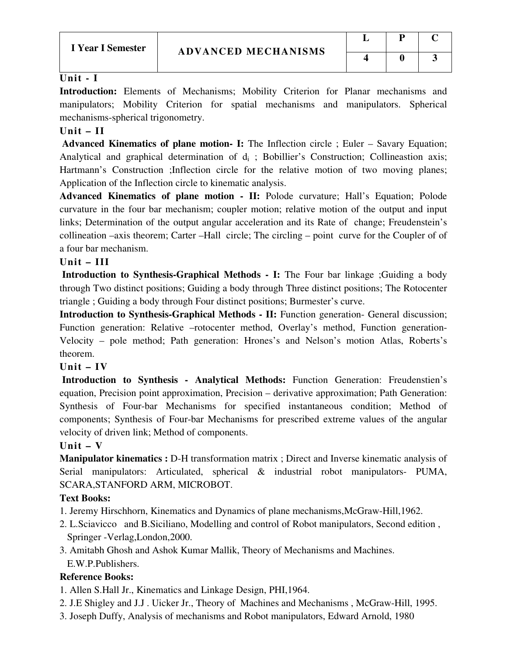# **Unit - I**

**Introduction:** Elements of Mechanisms; Mobility Criterion for Planar mechanisms and manipulators; Mobility Criterion for spatial mechanisms and manipulators. Spherical mechanisms-spherical trigonometry.

# **Unit – II**

 **Advanced Kinematics of plane motion- I:** The Inflection circle ; Euler – Savary Equation; Analytical and graphical determination of  $d_i$ ; Bobillier's Construction; Collineastion axis; Hartmann's Construction ;Inflection circle for the relative motion of two moving planes; Application of the Inflection circle to kinematic analysis.

**Advanced Kinematics of plane motion - II:** Polode curvature; Hall's Equation; Polode curvature in the four bar mechanism; coupler motion; relative motion of the output and input links; Determination of the output angular acceleration and its Rate of change; Freudenstein's collineation –axis theorem; Carter –Hall circle; The circling – point curve for the Coupler of of a four bar mechanism.

# **Unit – III**

 **Introduction to Synthesis-Graphical Methods - I:** The Four bar linkage ;Guiding a body through Two distinct positions; Guiding a body through Three distinct positions; The Rotocenter triangle ; Guiding a body through Four distinct positions; Burmester's curve.

**Introduction to Synthesis-Graphical Methods - II:** Function generation- General discussion; Function generation: Relative –rotocenter method, Overlay's method, Function generation-Velocity – pole method; Path generation: Hrones's and Nelson's motion Atlas, Roberts's theorem.

# **Unit – IV**

 **Introduction to Synthesis - Analytical Methods:** Function Generation: Freudenstien's equation, Precision point approximation, Precision – derivative approximation; Path Generation: Synthesis of Four-bar Mechanisms for specified instantaneous condition; Method of components; Synthesis of Four-bar Mechanisms for prescribed extreme values of the angular velocity of driven link; Method of components.

# **Unit – V**

**Manipulator kinematics :** D-H transformation matrix ; Direct and Inverse kinematic analysis of Serial manipulators: Articulated, spherical & industrial robot manipulators- PUMA, SCARA,STANFORD ARM, MICROBOT.

# **Text Books:**

- 1. Jeremy Hirschhorn, Kinematics and Dynamics of plane mechanisms,McGraw-Hill,1962.
- 2. L.Sciavicco and B.Siciliano, Modelling and control of Robot manipulators, Second edition , Springer -Verlag,London,2000.
- 3. Amitabh Ghosh and Ashok Kumar Mallik, Theory of Mechanisms and Machines. E.W.P.Publishers.

# **Reference Books:**

- 1. Allen S.Hall Jr., Kinematics and Linkage Design, PHI,1964.
- 2. J.E Shigley and J.J . Uicker Jr., Theory of Machines and Mechanisms , McGraw-Hill, 1995.
- 3. Joseph Duffy, Analysis of mechanisms and Robot manipulators, Edward Arnold, 1980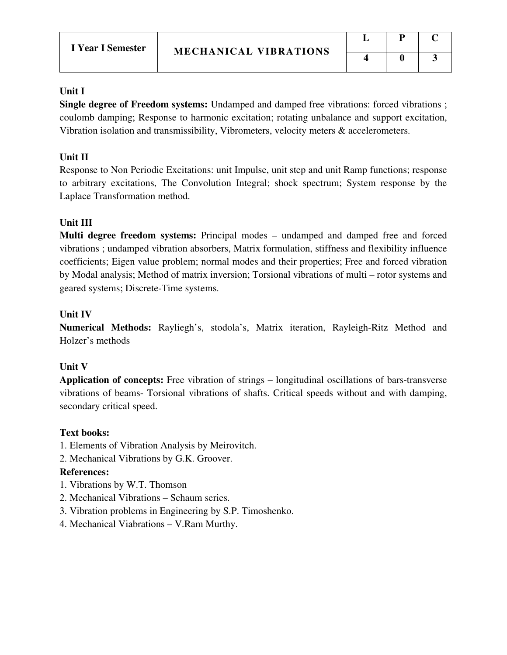# **Unit I**

**Single degree of Freedom systems:** Undamped and damped free vibrations: forced vibrations ; coulomb damping; Response to harmonic excitation; rotating unbalance and support excitation, Vibration isolation and transmissibility, Vibrometers, velocity meters & accelerometers.

# **Unit II**

Response to Non Periodic Excitations: unit Impulse, unit step and unit Ramp functions; response to arbitrary excitations, The Convolution Integral; shock spectrum; System response by the Laplace Transformation method.

# **Unit III**

**Multi degree freedom systems:** Principal modes – undamped and damped free and forced vibrations ; undamped vibration absorbers, Matrix formulation, stiffness and flexibility influence coefficients; Eigen value problem; normal modes and their properties; Free and forced vibration by Modal analysis; Method of matrix inversion; Torsional vibrations of multi – rotor systems and geared systems; Discrete-Time systems.

# **Unit IV**

**Numerical Methods:** Rayliegh's, stodola's, Matrix iteration, Rayleigh-Ritz Method and Holzer's methods

# **Unit V**

**Application of concepts:** Free vibration of strings – longitudinal oscillations of bars-transverse vibrations of beams- Torsional vibrations of shafts. Critical speeds without and with damping, secondary critical speed.

# **Text books:**

- 1. Elements of Vibration Analysis by Meirovitch.
- 2. Mechanical Vibrations by G.K. Groover.

# **References:**

- 1. Vibrations by W.T. Thomson
- 2. Mechanical Vibrations Schaum series.
- 3. Vibration problems in Engineering by S.P. Timoshenko.
- 4. Mechanical Viabrations V.Ram Murthy.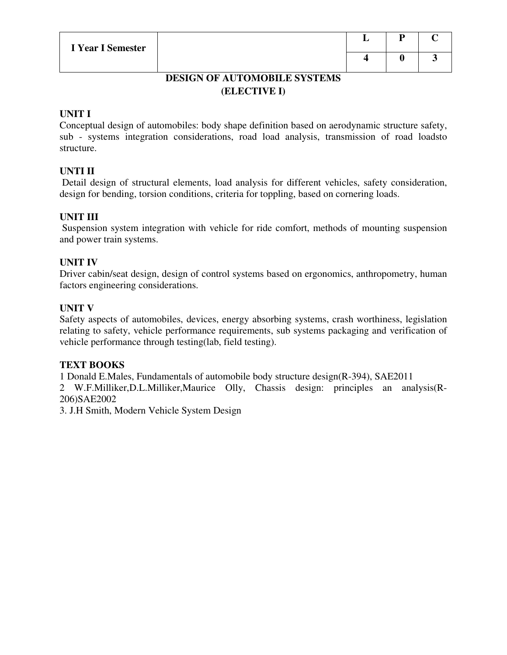| L | Р | U |
|---|---|---|
| - |   | 3 |

# **DESIGN OF AUTOMOBILE SYSTEMS (ELECTIVE I)**

# **UNIT I**

Conceptual design of automobiles: body shape definition based on aerodynamic structure safety, sub - systems integration considerations, road load analysis, transmission of road loadsto structure.

# **UNTI II**

 Detail design of structural elements, load analysis for different vehicles, safety consideration, design for bending, torsion conditions, criteria for toppling, based on cornering loads.

# **UNIT III**

 Suspension system integration with vehicle for ride comfort, methods of mounting suspension and power train systems.

# **UNIT IV**

Driver cabin/seat design, design of control systems based on ergonomics, anthropometry, human factors engineering considerations.

# **UNIT V**

Safety aspects of automobiles, devices, energy absorbing systems, crash worthiness, legislation relating to safety, vehicle performance requirements, sub systems packaging and verification of vehicle performance through testing(lab, field testing).

# **TEXT BOOKS**

1 Donald E.Males, Fundamentals of automobile body structure design(R-394), SAE2011

2 W.F.Milliker,D.L.Milliker,Maurice Olly, Chassis design: principles an analysis(R-206)SAE2002

3. J.H Smith, Modern Vehicle System Design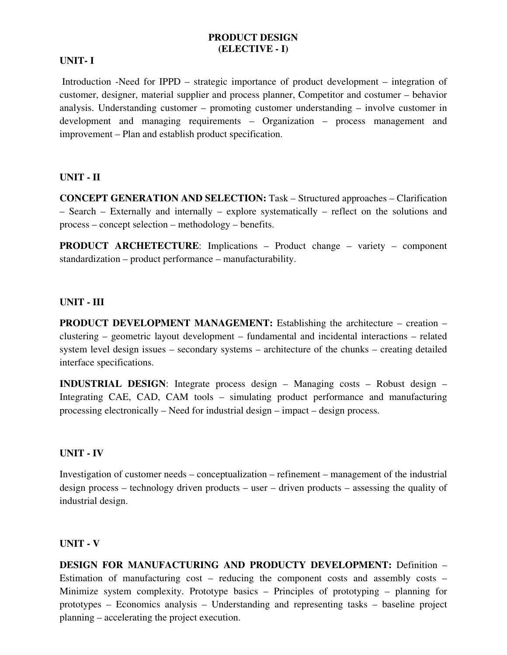#### **PRODUCT DESIGN (ELECTIVE - I)**

#### **UNIT- I**

 Introduction -Need for IPPD – strategic importance of product development – integration of customer, designer, material supplier and process planner, Competitor and costumer – behavior analysis. Understanding customer – promoting customer understanding – involve customer in development and managing requirements – Organization – process management and improvement – Plan and establish product specification.

#### **UNIT - II**

**CONCEPT GENERATION AND SELECTION:** Task – Structured approaches – Clarification – Search – Externally and internally – explore systematically – reflect on the solutions and process – concept selection – methodology – benefits.

**PRODUCT ARCHETECTURE**: Implications – Product change – variety – component standardization – product performance – manufacturability.

#### **UNIT - III**

**PRODUCT DEVELOPMENT MANAGEMENT:** Establishing the architecture – creation – clustering – geometric layout development – fundamental and incidental interactions – related system level design issues – secondary systems – architecture of the chunks – creating detailed interface specifications.

**INDUSTRIAL DESIGN**: Integrate process design – Managing costs – Robust design – Integrating CAE, CAD, CAM tools – simulating product performance and manufacturing processing electronically – Need for industrial design – impact – design process.

#### **UNIT - IV**

Investigation of customer needs – conceptualization – refinement – management of the industrial design process – technology driven products – user – driven products – assessing the quality of industrial design.

#### **UNIT - V**

**DESIGN FOR MANUFACTURING AND PRODUCTY DEVELOPMENT:** Definition – Estimation of manufacturing cost – reducing the component costs and assembly costs – Minimize system complexity. Prototype basics – Principles of prototyping – planning for prototypes – Economics analysis – Understanding and representing tasks – baseline project planning – accelerating the project execution.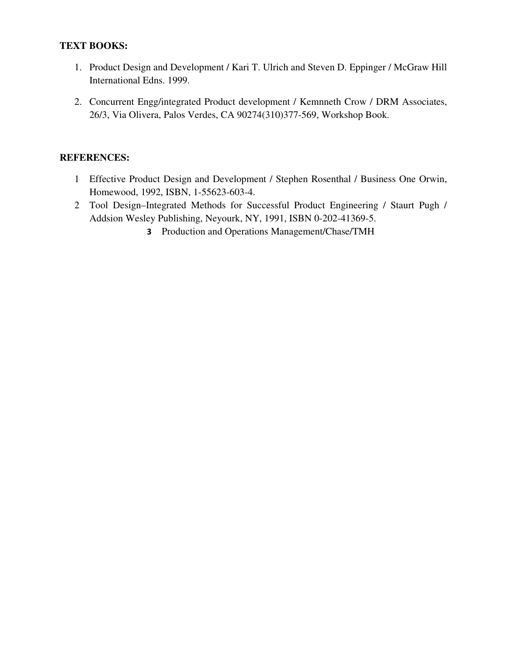# **TEXT BOOKS:**

- 1. Product Design and Development / Kari T. Ulrich and Steven D. Eppinger / McGraw Hill International Edns. 1999.
- 2. Concurrent Engg/integrated Product development / Kemnneth Crow / DRM Associates, 26/3, Via Olivera, Palos Verdes, CA 90274(310)377-569, Workshop Book.

- 1 Effective Product Design and Development / Stephen Rosenthal / Business One Orwin, Homewood, 1992, ISBN, 1-55623-603-4.
- 2 Tool Design–Integrated Methods for Successful Product Engineering / Staurt Pugh / Addsion Wesley Publishing, Neyourk, NY, 1991, ISBN 0-202-41369-5.
	- **3** Production and Operations Management/Chase/TMH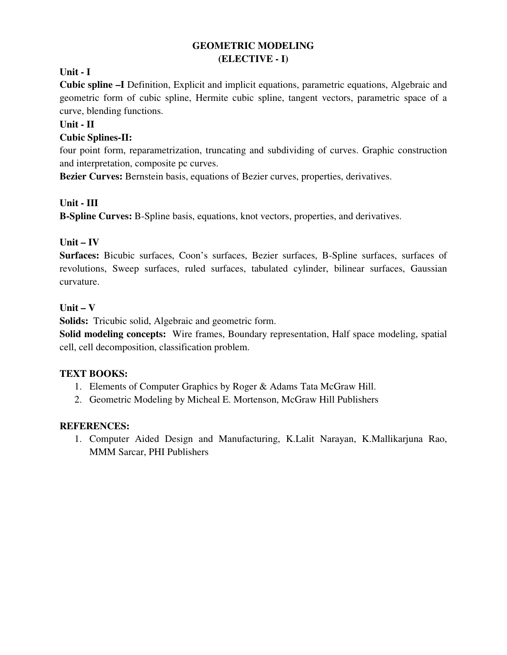# **GEOMETRIC MODELING (ELECTIVE - I)**

# **Unit - I**

**Cubic spline –I** Definition, Explicit and implicit equations, parametric equations, Algebraic and geometric form of cubic spline, Hermite cubic spline, tangent vectors, parametric space of a curve, blending functions.

# **Unit - II**

# **Cubic Splines-II:**

four point form, reparametrization, truncating and subdividing of curves. Graphic construction and interpretation, composite pc curves.

**Bezier Curves:** Bernstein basis, equations of Bezier curves, properties, derivatives.

# **Unit - III**

**B-Spline Curves:** B-Spline basis, equations, knot vectors, properties, and derivatives.

# **Unit – IV**

**Surfaces:** Bicubic surfaces, Coon's surfaces, Bezier surfaces, B-Spline surfaces, surfaces of revolutions, Sweep surfaces, ruled surfaces, tabulated cylinder, bilinear surfaces, Gaussian curvature.

# **Unit – V**

**Solids:** Tricubic solid, Algebraic and geometric form.

**Solid modeling concepts:** Wire frames, Boundary representation, Half space modeling, spatial cell, cell decomposition, classification problem.

# **TEXT BOOKS:**

- 1. Elements of Computer Graphics by Roger & Adams Tata McGraw Hill.
- 2. Geometric Modeling by Micheal E. Mortenson, McGraw Hill Publishers

# **REFERENCES:**

1. Computer Aided Design and Manufacturing, K.Lalit Narayan, K.Mallikarjuna Rao, MMM Sarcar, PHI Publishers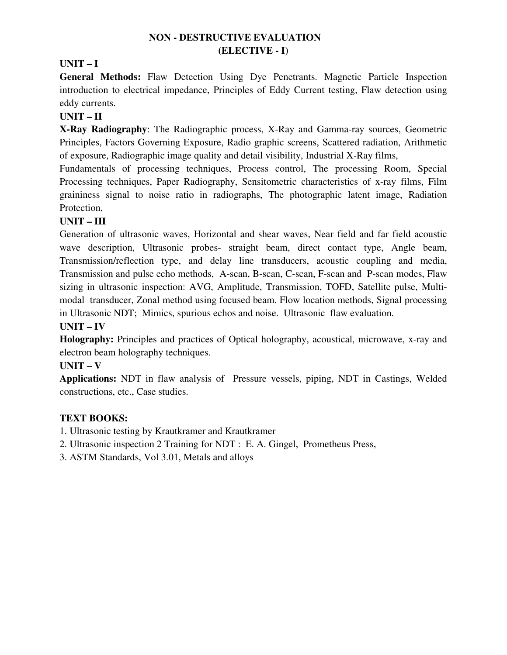# **NON - DESTRUCTIVE EVALUATION (ELECTIVE - I)**

# **UNIT – I**

**General Methods:** Flaw Detection Using Dye Penetrants. Magnetic Particle Inspection introduction to electrical impedance, Principles of Eddy Current testing, Flaw detection using eddy currents.

# **UNIT – II**

**X-Ray Radiography**: The Radiographic process, X-Ray and Gamma-ray sources, Geometric Principles, Factors Governing Exposure, Radio graphic screens, Scattered radiation, Arithmetic of exposure, Radiographic image quality and detail visibility, Industrial X-Ray films,

Fundamentals of processing techniques, Process control, The processing Room, Special Processing techniques, Paper Radiography, Sensitometric characteristics of x-ray films, Film graininess signal to noise ratio in radiographs, The photographic latent image, Radiation Protection,

# **UNIT – III**

Generation of ultrasonic waves, Horizontal and shear waves, Near field and far field acoustic wave description, Ultrasonic probes- straight beam, direct contact type, Angle beam, Transmission/reflection type, and delay line transducers, acoustic coupling and media, Transmission and pulse echo methods, A-scan, B-scan, C-scan, F-scan and P-scan modes, Flaw sizing in ultrasonic inspection: AVG, Amplitude, Transmission, TOFD, Satellite pulse, Multimodal transducer, Zonal method using focused beam. Flow location methods, Signal processing in Ultrasonic NDT; Mimics, spurious echos and noise. Ultrasonic flaw evaluation.

# **UNIT – IV**

**Holography:** Principles and practices of Optical holography, acoustical, microwave, x-ray and electron beam holography techniques.

# **UNIT – V**

**Applications:** NDT in flaw analysis of Pressure vessels, piping, NDT in Castings, Welded constructions, etc., Case studies.

# **TEXT BOOKS:**

1. Ultrasonic testing by Krautkramer and Krautkramer

2. Ultrasonic inspection 2 Training for NDT : E. A. Gingel, Prometheus Press,

3. ASTM Standards, Vol 3.01, Metals and alloys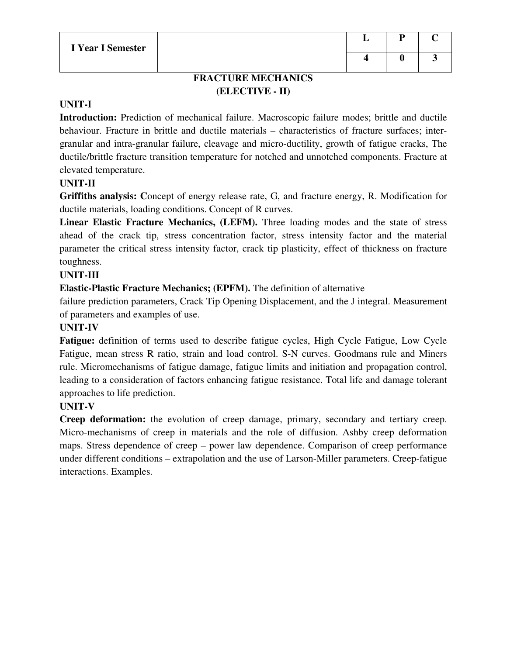# **FRACTURE MECHANICS (ELECTIVE - II)**

# **UNIT-I**

**Introduction:** Prediction of mechanical failure. Macroscopic failure modes; brittle and ductile behaviour. Fracture in brittle and ductile materials – characteristics of fracture surfaces; intergranular and intra-granular failure, cleavage and micro-ductility, growth of fatigue cracks, The ductile/brittle fracture transition temperature for notched and unnotched components. Fracture at elevated temperature.

# **UNIT-II**

**Griffiths analysis: C**oncept of energy release rate, G, and fracture energy, R. Modification for ductile materials, loading conditions. Concept of R curves.

**Linear Elastic Fracture Mechanics, (LEFM).** Three loading modes and the state of stress ahead of the crack tip, stress concentration factor, stress intensity factor and the material parameter the critical stress intensity factor, crack tip plasticity, effect of thickness on fracture toughness.

# **UNIT-III**

**Elastic-Plastic Fracture Mechanics; (EPFM).** The definition of alternative

failure prediction parameters, Crack Tip Opening Displacement, and the J integral. Measurement of parameters and examples of use.

# **UNIT-IV**

**Fatigue:** definition of terms used to describe fatigue cycles, High Cycle Fatigue, Low Cycle Fatigue, mean stress R ratio, strain and load control. S-N curves. Goodmans rule and Miners rule. Micromechanisms of fatigue damage, fatigue limits and initiation and propagation control, leading to a consideration of factors enhancing fatigue resistance. Total life and damage tolerant approaches to life prediction.

# **UNIT-V**

**Creep deformation:** the evolution of creep damage, primary, secondary and tertiary creep. Micro-mechanisms of creep in materials and the role of diffusion. Ashby creep deformation maps. Stress dependence of creep – power law dependence. Comparison of creep performance under different conditions – extrapolation and the use of Larson-Miller parameters. Creep-fatigue interactions. Examples.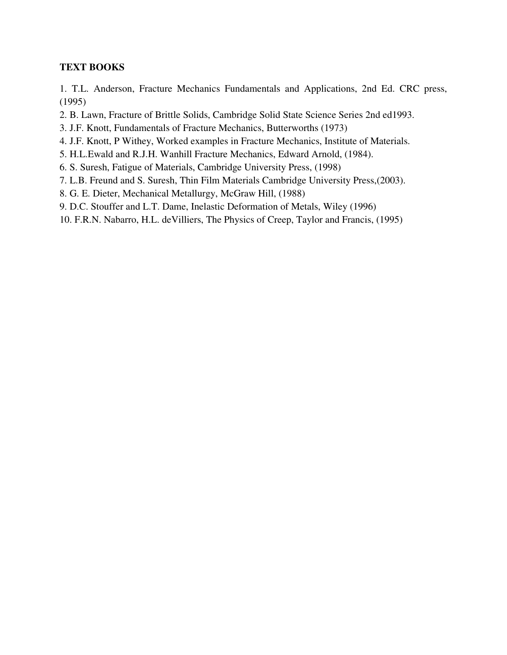# **TEXT BOOKS**

1. T.L. Anderson, Fracture Mechanics Fundamentals and Applications, 2nd Ed. CRC press, (1995)

- 2. B. Lawn, Fracture of Brittle Solids, Cambridge Solid State Science Series 2nd ed1993.
- 3. J.F. Knott, Fundamentals of Fracture Mechanics, Butterworths (1973)
- 4. J.F. Knott, P Withey, Worked examples in Fracture Mechanics, Institute of Materials.
- 5. H.L.Ewald and R.J.H. Wanhill Fracture Mechanics, Edward Arnold, (1984).
- 6. S. Suresh, Fatigue of Materials, Cambridge University Press, (1998)
- 7. L.B. Freund and S. Suresh, Thin Film Materials Cambridge University Press,(2003).
- 8. G. E. Dieter, Mechanical Metallurgy, McGraw Hill, (1988)
- 9. D.C. Stouffer and L.T. Dame, Inelastic Deformation of Metals, Wiley (1996)
- 10. F.R.N. Nabarro, H.L. deVilliers, The Physics of Creep, Taylor and Francis, (1995)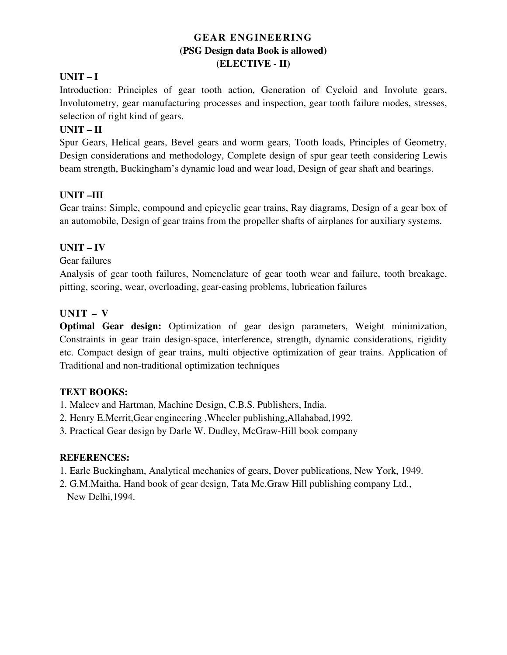# **GEAR ENGINEERING (PSG Design data Book is allowed) (ELECTIVE - II)**

# **UNIT – I**

Introduction: Principles of gear tooth action, Generation of Cycloid and Involute gears, Involutometry, gear manufacturing processes and inspection, gear tooth failure modes, stresses, selection of right kind of gears.

# **UNIT – II**

Spur Gears, Helical gears, Bevel gears and worm gears, Tooth loads, Principles of Geometry, Design considerations and methodology, Complete design of spur gear teeth considering Lewis beam strength, Buckingham's dynamic load and wear load, Design of gear shaft and bearings.

# **UNIT –III**

Gear trains: Simple, compound and epicyclic gear trains, Ray diagrams, Design of a gear box of an automobile, Design of gear trains from the propeller shafts of airplanes for auxiliary systems.

# **UNIT – IV**

Gear failures

Analysis of gear tooth failures, Nomenclature of gear tooth wear and failure, tooth breakage, pitting, scoring, wear, overloading, gear-casing problems, lubrication failures

# **UNIT – V**

**Optimal Gear design:** Optimization of gear design parameters, Weight minimization, Constraints in gear train design-space, interference, strength, dynamic considerations, rigidity etc. Compact design of gear trains, multi objective optimization of gear trains. Application of Traditional and non-traditional optimization techniques

# **TEXT BOOKS:**

1. Maleev and Hartman, Machine Design, C.B.S. Publishers, India.

2. Henry E.Merrit,Gear engineering ,Wheeler publishing,Allahabad,1992.

3. Practical Gear design by Darle W. Dudley, McGraw-Hill book company

- 1. Earle Buckingham, Analytical mechanics of gears, Dover publications, New York, 1949.
- 2. G.M.Maitha, Hand book of gear design, Tata Mc.Graw Hill publishing company Ltd., New Delhi,1994.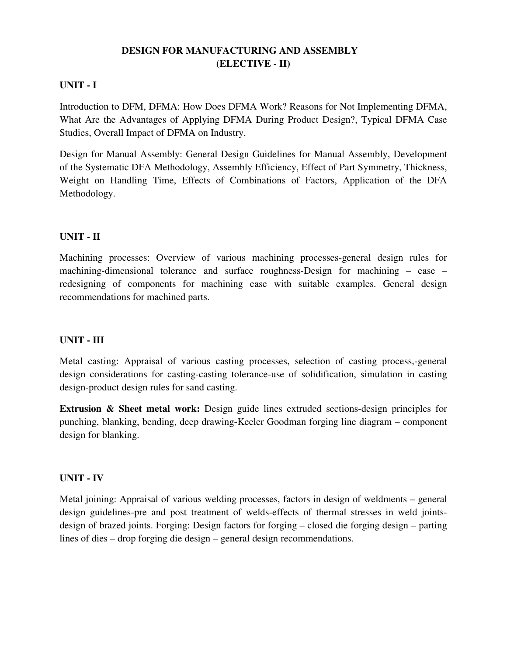# **DESIGN FOR MANUFACTURING AND ASSEMBLY (ELECTIVE - II)**

# **UNIT - I**

Introduction to DFM, DFMA: How Does DFMA Work? Reasons for Not Implementing DFMA, What Are the Advantages of Applying DFMA During Product Design?, Typical DFMA Case Studies, Overall Impact of DFMA on Industry.

Design for Manual Assembly: General Design Guidelines for Manual Assembly, Development of the Systematic DFA Methodology, Assembly Efficiency, Effect of Part Symmetry, Thickness, Weight on Handling Time, Effects of Combinations of Factors, Application of the DFA Methodology.

# **UNIT - II**

Machining processes: Overview of various machining processes-general design rules for machining-dimensional tolerance and surface roughness-Design for machining – ease – redesigning of components for machining ease with suitable examples. General design recommendations for machined parts.

#### **UNIT - III**

Metal casting: Appraisal of various casting processes, selection of casting process,-general design considerations for casting-casting tolerance-use of solidification, simulation in casting design-product design rules for sand casting.

**Extrusion & Sheet metal work:** Design guide lines extruded sections-design principles for punching, blanking, bending, deep drawing-Keeler Goodman forging line diagram – component design for blanking.

#### **UNIT - IV**

Metal joining: Appraisal of various welding processes, factors in design of weldments – general design guidelines-pre and post treatment of welds-effects of thermal stresses in weld jointsdesign of brazed joints. Forging: Design factors for forging – closed die forging design – parting lines of dies – drop forging die design – general design recommendations.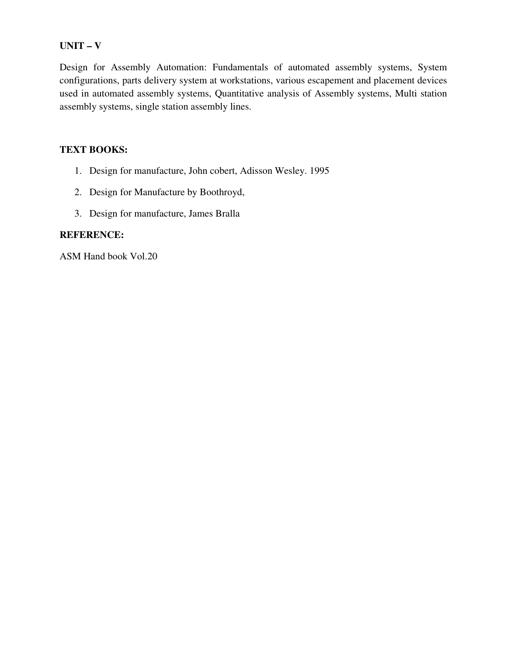#### **UNIT – V**

Design for Assembly Automation: Fundamentals of automated assembly systems, System configurations, parts delivery system at workstations, various escapement and placement devices used in automated assembly systems, Quantitative analysis of Assembly systems, Multi station assembly systems, single station assembly lines.

#### **TEXT BOOKS:**

- 1. Design for manufacture, John cobert, Adisson Wesley. 1995
- 2. Design for Manufacture by Boothroyd,
- 3. Design for manufacture, James Bralla

#### **REFERENCE:**

ASM Hand book Vol.20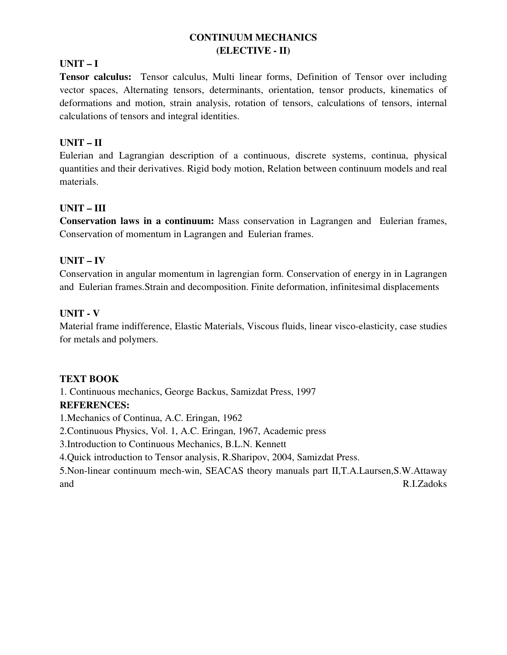# **CONTINUUM MECHANICS (ELECTIVE - II)**

# **UNIT – I**

**Tensor calculus:** Tensor calculus, Multi linear forms, Definition of Tensor over including vector spaces, Alternating tensors, determinants, orientation, tensor products, kinematics of deformations and motion, strain analysis, rotation of tensors, calculations of tensors, internal calculations of tensors and integral identities.

#### **UNIT – II**

Eulerian and Lagrangian description of a continuous, discrete systems, continua, physical quantities and their derivatives. Rigid body motion, Relation between continuum models and real materials.

#### **UNIT – III**

**Conservation laws in a continuum:** Mass conservation in Lagrangen and Eulerian frames, Conservation of momentum in Lagrangen and Eulerian frames.

#### **UNIT – IV**

Conservation in angular momentum in lagrengian form. Conservation of energy in in Lagrangen and Eulerian frames.Strain and decomposition. Finite deformation, infinitesimal displacements

#### **UNIT - V**

Material frame indifference, Elastic Materials, Viscous fluids, linear visco-elasticity, case studies for metals and polymers.

# **TEXT BOOK**

1. Continuous mechanics, George Backus, Samizdat Press, 1997 **REFERENCES:**  1.Mechanics of Continua, A.C. Eringan, 1962 2.Continuous Physics, Vol. 1, A.C. Eringan, 1967, Academic press 3.Introduction to Continuous Mechanics, B.L.N. Kennett 4.Quick introduction to Tensor analysis, R.Sharipov, 2004, Samizdat Press. 5.Non-linear continuum mech-win, SEACAS theory manuals part II,T.A.Laursen,S.W.Attaway and R.I.Zadoks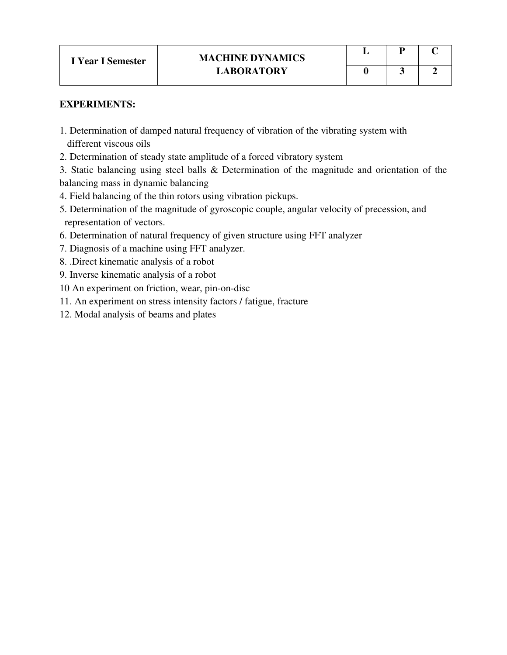#### **EXPERIMENTS:**

- 1. Determination of damped natural frequency of vibration of the vibrating system with different viscous oils
- 2. Determination of steady state amplitude of a forced vibratory system

3. Static balancing using steel balls & Determination of the magnitude and orientation of the balancing mass in dynamic balancing

- 4. Field balancing of the thin rotors using vibration pickups.
- 5. Determination of the magnitude of gyroscopic couple, angular velocity of precession, and representation of vectors.
- 6. Determination of natural frequency of given structure using FFT analyzer
- 7. Diagnosis of a machine using FFT analyzer.
- 8. .Direct kinematic analysis of a robot
- 9. Inverse kinematic analysis of a robot
- 10 An experiment on friction, wear, pin-on-disc
- 11. An experiment on stress intensity factors / fatigue, fracture
- 12. Modal analysis of beams and plates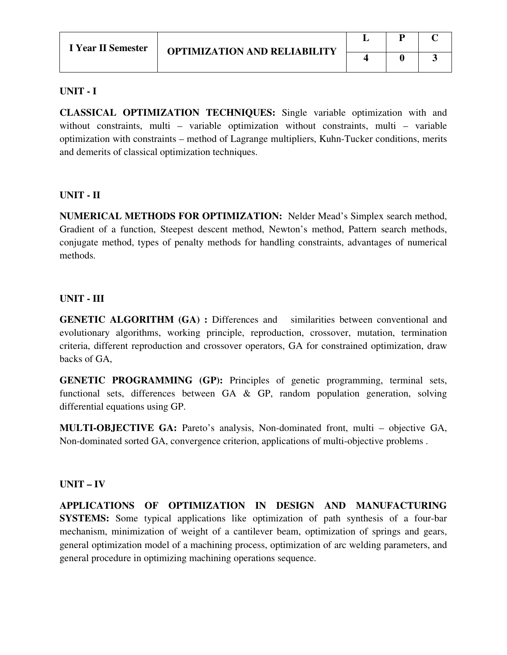#### **UNIT - I**

**CLASSICAL OPTIMIZATION TECHNIQUES:** Single variable optimization with and without constraints, multi – variable optimization without constraints, multi – variable optimization with constraints – method of Lagrange multipliers, Kuhn-Tucker conditions, merits and demerits of classical optimization techniques.

# **UNIT - II**

**NUMERICAL METHODS FOR OPTIMIZATION:** Nelder Mead's Simplex search method, Gradient of a function, Steepest descent method, Newton's method, Pattern search methods, conjugate method, types of penalty methods for handling constraints, advantages of numerical methods.

# **UNIT - III**

**GENETIC ALGORITHM (GA) :** Differences and similarities between conventional and evolutionary algorithms, working principle, reproduction, crossover, mutation, termination criteria, different reproduction and crossover operators, GA for constrained optimization, draw backs of GA,

**GENETIC PROGRAMMING (GP):** Principles of genetic programming, terminal sets, functional sets, differences between GA & GP, random population generation, solving differential equations using GP.

**MULTI-OBJECTIVE GA:** Pareto's analysis, Non-dominated front, multi – objective GA, Non-dominated sorted GA, convergence criterion, applications of multi-objective problems .

# **UNIT – IV**

**APPLICATIONS OF OPTIMIZATION IN DESIGN AND MANUFACTURING SYSTEMS:** Some typical applications like optimization of path synthesis of a four-bar mechanism, minimization of weight of a cantilever beam, optimization of springs and gears, general optimization model of a machining process, optimization of arc welding parameters, and general procedure in optimizing machining operations sequence.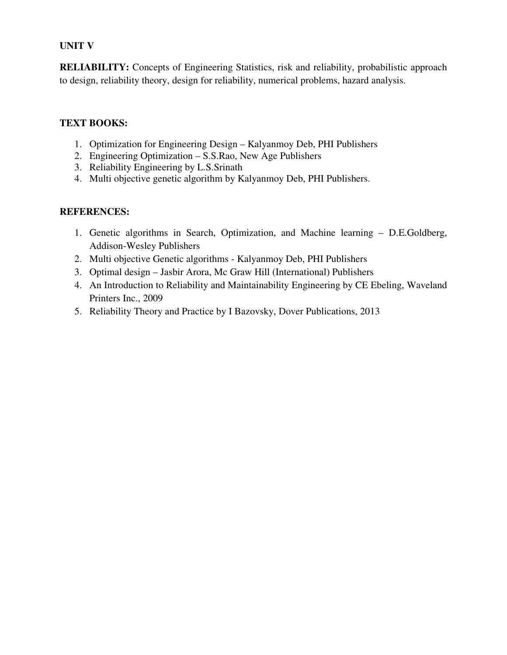# **UNIT V**

**RELIABILITY:** Concepts of Engineering Statistics, risk and reliability, probabilistic approach to design, reliability theory, design for reliability, numerical problems, hazard analysis.

# **TEXT BOOKS:**

- 1. Optimization for Engineering Design Kalyanmoy Deb, PHI Publishers
- 2. Engineering Optimization S.S.Rao, New Age Publishers
- 3. Reliability Engineering by L.S.Srinath
- 4. Multi objective genetic algorithm by Kalyanmoy Deb, PHI Publishers.

- 1. Genetic algorithms in Search, Optimization, and Machine learning D.E.Goldberg, Addison-Wesley Publishers
- 2. Multi objective Genetic algorithms Kalyanmoy Deb, PHI Publishers
- 3. Optimal design Jasbir Arora, Mc Graw Hill (International) Publishers
- 4. An Introduction to Reliability and Maintainability Engineering by CE Ebeling, Waveland Printers Inc., 2009
- 5. Reliability Theory and Practice by I Bazovsky, Dover Publications, 2013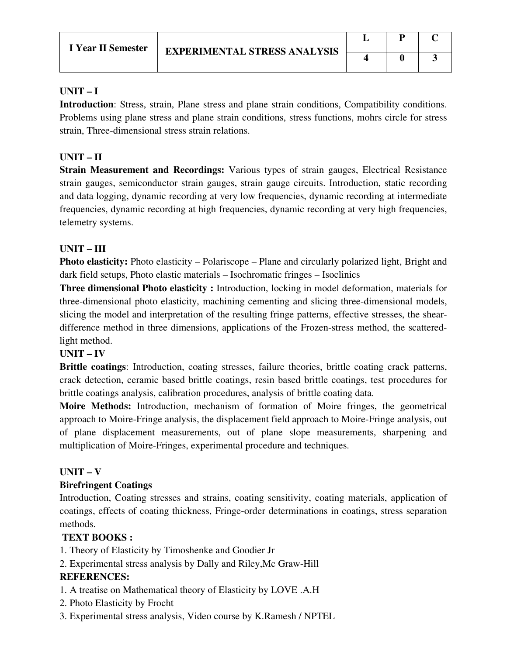# **UNIT – I**

**Introduction**: Stress, strain, Plane stress and plane strain conditions, Compatibility conditions. Problems using plane stress and plane strain conditions, stress functions, mohrs circle for stress strain, Three-dimensional stress strain relations.

# **UNIT – II**

**Strain Measurement and Recordings:** Various types of strain gauges, Electrical Resistance strain gauges, semiconductor strain gauges, strain gauge circuits. Introduction, static recording and data logging, dynamic recording at very low frequencies, dynamic recording at intermediate frequencies, dynamic recording at high frequencies, dynamic recording at very high frequencies, telemetry systems.

# **UNIT – III**

**Photo elasticity:** Photo elasticity – Polariscope – Plane and circularly polarized light, Bright and dark field setups, Photo elastic materials – Isochromatic fringes – Isoclinics

**Three dimensional Photo elasticity :** Introduction, locking in model deformation, materials for three-dimensional photo elasticity, machining cementing and slicing three-dimensional models, slicing the model and interpretation of the resulting fringe patterns, effective stresses, the sheardifference method in three dimensions, applications of the Frozen-stress method, the scatteredlight method.

# **UNIT – IV**

**Brittle coatings**: Introduction, coating stresses, failure theories, brittle coating crack patterns, crack detection, ceramic based brittle coatings, resin based brittle coatings, test procedures for brittle coatings analysis, calibration procedures, analysis of brittle coating data.

**Moire Methods:** Introduction, mechanism of formation of Moire fringes, the geometrical approach to Moire-Fringe analysis, the displacement field approach to Moire-Fringe analysis, out of plane displacement measurements, out of plane slope measurements, sharpening and multiplication of Moire-Fringes, experimental procedure and techniques.

# **UNIT – V**

# **Birefringent Coatings**

Introduction, Coating stresses and strains, coating sensitivity, coating materials, application of coatings, effects of coating thickness, Fringe-order determinations in coatings, stress separation methods.

# **TEXT BOOKS :**

1. Theory of Elasticity by Timoshenke and Goodier Jr

2. Experimental stress analysis by Dally and Riley,Mc Graw-Hill

- 1. A treatise on Mathematical theory of Elasticity by LOVE .A.H
- 2. Photo Elasticity by Frocht
- 3. Experimental stress analysis, Video course by K.Ramesh / NPTEL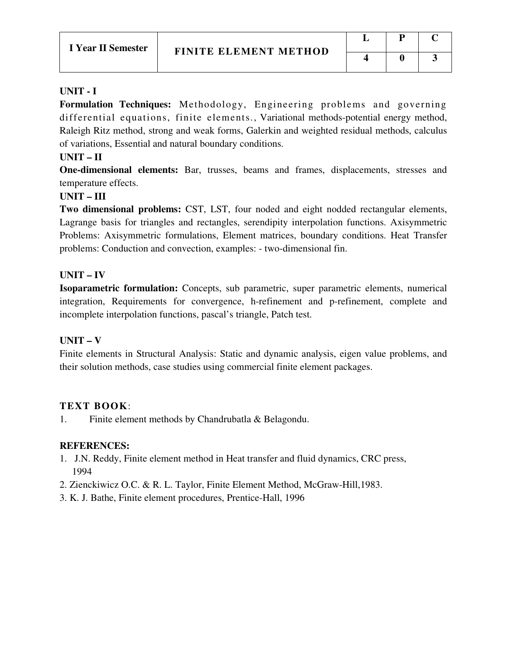#### **UNIT - I**

**Formulation Techniques:** Methodology, Engineering problems and governing differential equations, finite elements., Variational methods-potential energy method, Raleigh Ritz method, strong and weak forms, Galerkin and weighted residual methods, calculus of variations, Essential and natural boundary conditions.

#### **UNIT – II**

**One-dimensional elements:** Bar, trusses, beams and frames, displacements, stresses and temperature effects.

#### **UNIT – III**

**Two dimensional problems:** CST, LST, four noded and eight nodded rectangular elements, Lagrange basis for triangles and rectangles, serendipity interpolation functions. Axisymmetric Problems: Axisymmetric formulations, Element matrices, boundary conditions. Heat Transfer problems: Conduction and convection, examples: - two-dimensional fin.

#### **UNIT – IV**

**Isoparametric formulation:** Concepts, sub parametric, super parametric elements, numerical integration, Requirements for convergence, h-refinement and p-refinement, complete and incomplete interpolation functions, pascal's triangle, Patch test.

#### **UNIT – V**

Finite elements in Structural Analysis: Static and dynamic analysis, eigen value problems, and their solution methods, case studies using commercial finite element packages.

# **TEXT BOOK**:

1. Finite element methods by Chandrubatla & Belagondu.

- 1.J.N. Reddy, Finite element method in Heat transfer and fluid dynamics, CRC press, 1994
- 2. Zienckiwicz O.C. & R. L. Taylor, Finite Element Method, McGraw-Hill,1983.
- 3. K. J. Bathe, Finite element procedures, Prentice-Hall, 1996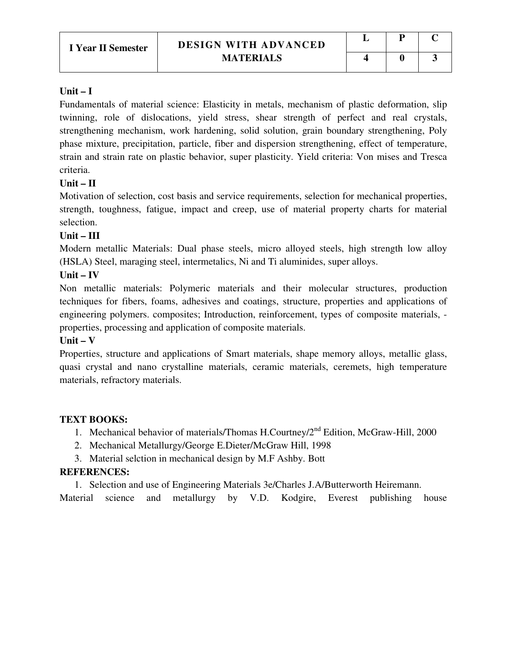#### **Unit – I**

Fundamentals of material science: Elasticity in metals, mechanism of plastic deformation, slip twinning, role of dislocations, yield stress, shear strength of perfect and real crystals, strengthening mechanism, work hardening, solid solution, grain boundary strengthening, Poly phase mixture, precipitation, particle, fiber and dispersion strengthening, effect of temperature, strain and strain rate on plastic behavior, super plasticity. Yield criteria: Von mises and Tresca criteria.

# **Unit – II**

Motivation of selection, cost basis and service requirements, selection for mechanical properties, strength, toughness, fatigue, impact and creep, use of material property charts for material selection.

# **Unit – III**

Modern metallic Materials: Dual phase steels, micro alloyed steels, high strength low alloy (HSLA) Steel, maraging steel, intermetalics, Ni and Ti aluminides, super alloys.

#### **Unit – IV**

Non metallic materials: Polymeric materials and their molecular structures, production techniques for fibers, foams, adhesives and coatings, structure, properties and applications of engineering polymers. composites; Introduction, reinforcement, types of composite materials, properties, processing and application of composite materials.

# **Unit – V**

Properties, structure and applications of Smart materials, shape memory alloys, metallic glass, quasi crystal and nano crystalline materials, ceramic materials, ceremets, high temperature materials, refractory materials.

# **TEXT BOOKS:**

- 1. Mechanical behavior of materials/Thomas H.Courtney/2<sup>nd</sup> Edition, McGraw-Hill, 2000
- 2. Mechanical Metallurgy/George E.Dieter/McGraw Hill, 1998
- 3. Material selction in mechanical design by M.F Ashby. Bott

# **REFERENCES:**

1. Selection and use of Engineering Materials 3e/Charles J.A/Butterworth Heiremann.

Material science and metallurgy by V.D. Kodgire, Everest publishing house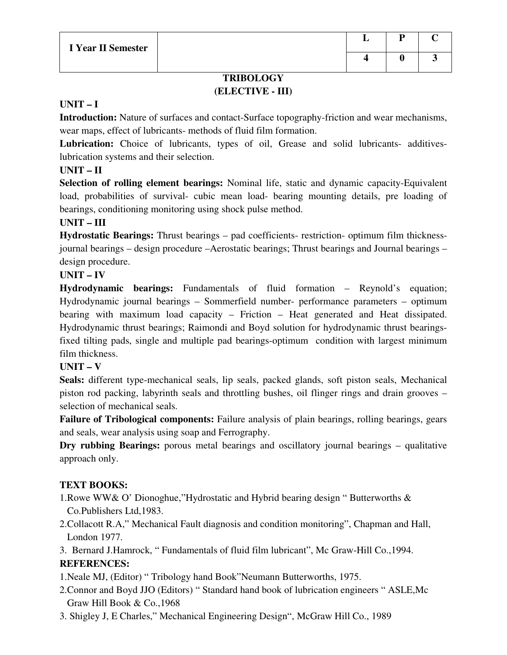# **TRIBOLOGY (ELECTIVE - III)**

# **UNIT – I**

**Introduction:** Nature of surfaces and contact-Surface topography-friction and wear mechanisms, wear maps, effect of lubricants- methods of fluid film formation.

**Lubrication:** Choice of lubricants, types of oil, Grease and solid lubricants- additiveslubrication systems and their selection.

# **UNIT – II**

**Selection of rolling element bearings:** Nominal life, static and dynamic capacity-Equivalent load, probabilities of survival- cubic mean load- bearing mounting details, pre loading of bearings, conditioning monitoring using shock pulse method.

# **UNIT – III**

**Hydrostatic Bearings:** Thrust bearings – pad coefficients- restriction- optimum film thicknessjournal bearings – design procedure –Aerostatic bearings; Thrust bearings and Journal bearings – design procedure.

# **UNIT – IV**

**Hydrodynamic bearings:** Fundamentals of fluid formation – Reynold's equation; Hydrodynamic journal bearings – Sommerfield number- performance parameters – optimum bearing with maximum load capacity – Friction – Heat generated and Heat dissipated. Hydrodynamic thrust bearings; Raimondi and Boyd solution for hydrodynamic thrust bearingsfixed tilting pads, single and multiple pad bearings-optimum condition with largest minimum film thickness.

# **UNIT – V**

**Seals:** different type-mechanical seals, lip seals, packed glands, soft piston seals, Mechanical piston rod packing, labyrinth seals and throttling bushes, oil flinger rings and drain grooves – selection of mechanical seals.

**Failure of Tribological components:** Failure analysis of plain bearings, rolling bearings, gears and seals, wear analysis using soap and Ferrography.

**Dry rubbing Bearings:** porous metal bearings and oscillatory journal bearings – qualitative approach only.

# **TEXT BOOKS:**

1.Rowe WW& O' Dionoghue,"Hydrostatic and Hybrid bearing design " Butterworths & Co.Publishers Ltd,1983.

2.Collacott R.A," Mechanical Fault diagnosis and condition monitoring", Chapman and Hall, London 1977.

3. Bernard J.Hamrock, " Fundamentals of fluid film lubricant", Mc Graw-Hill Co.,1994. **REFERENCES:** 

1.Neale MJ, (Editor) " Tribology hand Book"Neumann Butterworths, 1975.

- 2.Connor and Boyd JJO (Editors) " Standard hand book of lubrication engineers " ASLE,Mc Graw Hill Book & Co.,1968
- 3. Shigley J, E Charles," Mechanical Engineering Design", McGraw Hill Co., 1989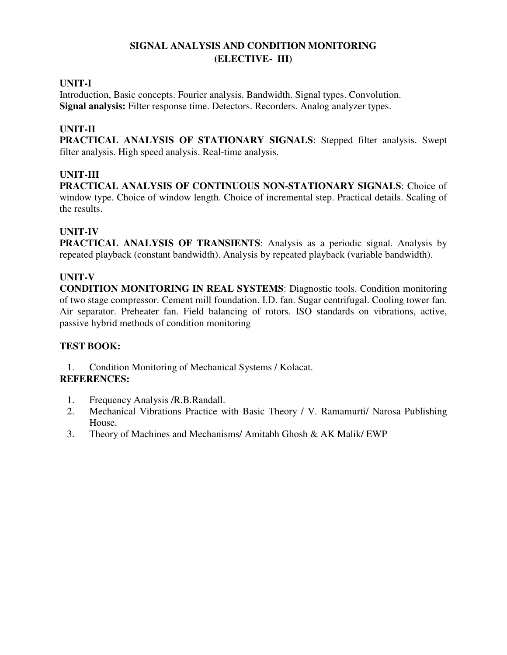# **SIGNAL ANALYSIS AND CONDITION MONITORING (ELECTIVE- III)**

# **UNIT-I**

Introduction, Basic concepts. Fourier analysis. Bandwidth. Signal types. Convolution. **Signal analysis:** Filter response time. Detectors. Recorders. Analog analyzer types.

# **UNIT-II**

**PRACTICAL ANALYSIS OF STATIONARY SIGNALS**: Stepped filter analysis. Swept filter analysis. High speed analysis. Real-time analysis.

# **UNIT-III**

**PRACTICAL ANALYSIS OF CONTINUOUS NON-STATIONARY SIGNALS**: Choice of window type. Choice of window length. Choice of incremental step. Practical details. Scaling of the results.

# **UNIT-IV**

**PRACTICAL ANALYSIS OF TRANSIENTS**: Analysis as a periodic signal. Analysis by repeated playback (constant bandwidth). Analysis by repeated playback (variable bandwidth).

# **UNIT-V**

**CONDITION MONITORING IN REAL SYSTEMS**: Diagnostic tools. Condition monitoring of two stage compressor. Cement mill foundation. I.D. fan. Sugar centrifugal. Cooling tower fan. Air separator. Preheater fan. Field balancing of rotors. ISO standards on vibrations, active, passive hybrid methods of condition monitoring

# **TEST BOOK:**

1. Condition Monitoring of Mechanical Systems / Kolacat.

- 1. Frequency Analysis /R.B.Randall.
- 2. Mechanical Vibrations Practice with Basic Theory / V. Ramamurti/ Narosa Publishing House.
- 3. Theory of Machines and Mechanisms/ Amitabh Ghosh & AK Malik/ EWP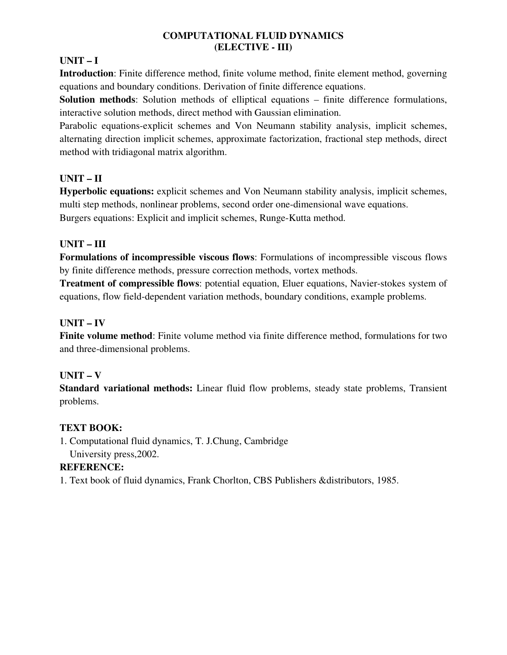# **COMPUTATIONAL FLUID DYNAMICS (ELECTIVE - III)**

# **UNIT – I**

**Introduction**: Finite difference method, finite volume method, finite element method, governing equations and boundary conditions. Derivation of finite difference equations.

**Solution methods**: Solution methods of elliptical equations – finite difference formulations, interactive solution methods, direct method with Gaussian elimination.

Parabolic equations-explicit schemes and Von Neumann stability analysis, implicit schemes, alternating direction implicit schemes, approximate factorization, fractional step methods, direct method with tridiagonal matrix algorithm.

# **UNIT – II**

**Hyperbolic equations:** explicit schemes and Von Neumann stability analysis, implicit schemes, multi step methods, nonlinear problems, second order one-dimensional wave equations. Burgers equations: Explicit and implicit schemes, Runge-Kutta method.

# **UNIT – III**

**Formulations of incompressible viscous flows**: Formulations of incompressible viscous flows by finite difference methods, pressure correction methods, vortex methods.

**Treatment of compressible flows**: potential equation, Eluer equations, Navier-stokes system of equations, flow field-dependent variation methods, boundary conditions, example problems.

# **UNIT – IV**

**Finite volume method**: Finite volume method via finite difference method, formulations for two and three-dimensional problems.

# **UNIT – V**

**Standard variational methods:** Linear fluid flow problems, steady state problems, Transient problems.

# **TEXT BOOK:**

1. Computational fluid dynamics, T. J.Chung, Cambridge University press,2002.

# **REFERENCE:**

1. Text book of fluid dynamics, Frank Chorlton, CBS Publishers &distributors, 1985.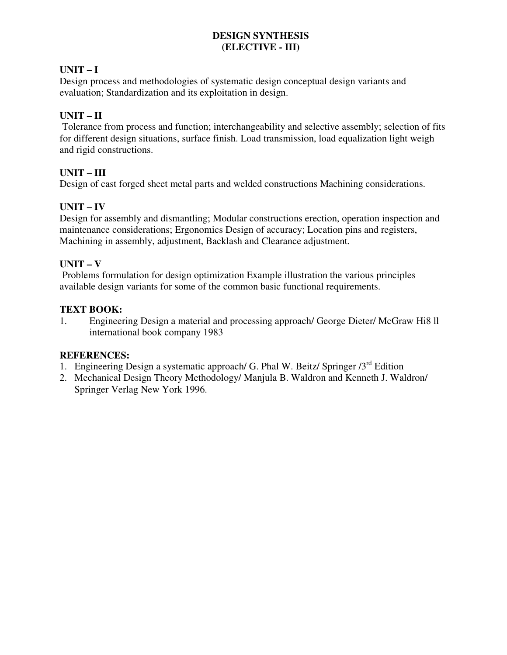# **DESIGN SYNTHESIS (ELECTIVE - III)**

# **UNIT – I**

Design process and methodologies of systematic design conceptual design variants and evaluation; Standardization and its exploitation in design.

# **UNIT – II**

 Tolerance from process and function; interchangeability and selective assembly; selection of fits for different design situations, surface finish. Load transmission, load equalization light weigh and rigid constructions.

# **UNIT – III**

Design of cast forged sheet metal parts and welded constructions Machining considerations.

# **UNIT – IV**

Design for assembly and dismantling; Modular constructions erection, operation inspection and maintenance considerations; Ergonomics Design of accuracy; Location pins and registers, Machining in assembly, adjustment, Backlash and Clearance adjustment.

# **UNIT – V**

 Problems formulation for design optimization Example illustration the various principles available design variants for some of the common basic functional requirements.

# **TEXT BOOK:**

1. Engineering Design a material and processing approach/ George Dieter/ McGraw Hi8 ll international book company 1983

- 1. Engineering Design a systematic approach/ G. Phal W. Beitz/ Springer  $3<sup>rd</sup>$  Edition
- 2. Mechanical Design Theory Methodology/ Manjula B. Waldron and Kenneth J. Waldron/ Springer Verlag New York 1996.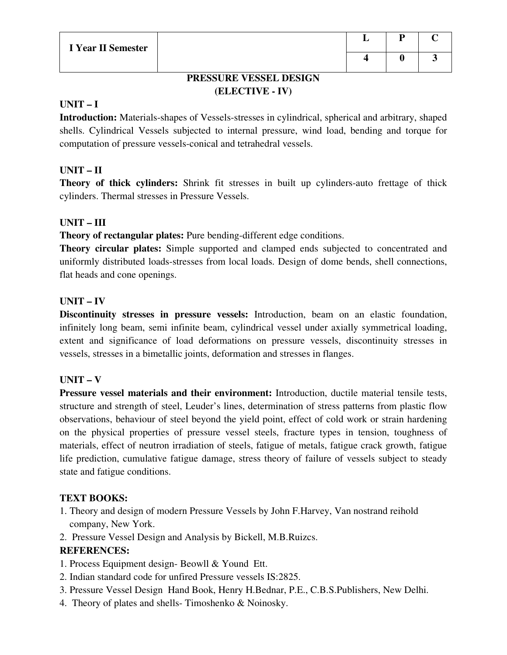# **PRESSURE VESSEL DESIGN (ELECTIVE - IV)**

#### **UNIT – I**

**Introduction:** Materials-shapes of Vessels-stresses in cylindrical, spherical and arbitrary, shaped shells. Cylindrical Vessels subjected to internal pressure, wind load, bending and torque for computation of pressure vessels-conical and tetrahedral vessels.

# **UNIT – II**

**Theory of thick cylinders:** Shrink fit stresses in built up cylinders-auto frettage of thick cylinders. Thermal stresses in Pressure Vessels.

# **UNIT – III**

**Theory of rectangular plates:** Pure bending-different edge conditions.

**Theory circular plates:** Simple supported and clamped ends subjected to concentrated and uniformly distributed loads-stresses from local loads. Design of dome bends, shell connections, flat heads and cone openings.

# **UNIT – IV**

**Discontinuity stresses in pressure vessels:** Introduction, beam on an elastic foundation, infinitely long beam, semi infinite beam, cylindrical vessel under axially symmetrical loading, extent and significance of load deformations on pressure vessels, discontinuity stresses in vessels, stresses in a bimetallic joints, deformation and stresses in flanges.

# **UNIT – V**

**Pressure vessel materials and their environment:** Introduction, ductile material tensile tests, structure and strength of steel, Leuder's lines, determination of stress patterns from plastic flow observations, behaviour of steel beyond the yield point, effect of cold work or strain hardening on the physical properties of pressure vessel steels, fracture types in tension, toughness of materials, effect of neutron irradiation of steels, fatigue of metals, fatigue crack growth, fatigue life prediction, cumulative fatigue damage, stress theory of failure of vessels subject to steady state and fatigue conditions.

# **TEXT BOOKS:**

1. Theory and design of modern Pressure Vessels by John F.Harvey, Van nostrand reihold company, New York.

2. Pressure Vessel Design and Analysis by Bickell, M.B.Ruizcs.

# **REFERENCES:**

1. Process Equipment design- Beowll & Yound Ett.

- 2. Indian standard code for unfired Pressure vessels IS:2825.
- 3. Pressure Vessel Design Hand Book, Henry H.Bednar, P.E., C.B.S.Publishers, New Delhi.
- 4. Theory of plates and shells- Timoshenko & Noinosky.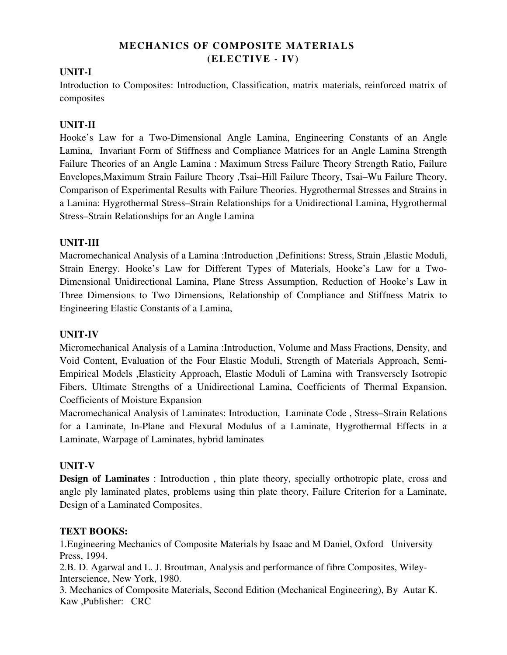# **MECHANICS OF COMPOSITE MATERIALS (ELECTIVE - IV)**

# **UNIT-I**

Introduction to Composites: Introduction, Classification, matrix materials, reinforced matrix of composites

# **UNIT-II**

Hooke's Law for a Two-Dimensional Angle Lamina, Engineering Constants of an Angle Lamina, Invariant Form of Stiffness and Compliance Matrices for an Angle Lamina Strength Failure Theories of an Angle Lamina : Maximum Stress Failure Theory Strength Ratio, Failure Envelopes,Maximum Strain Failure Theory ,Tsai–Hill Failure Theory, Tsai–Wu Failure Theory, Comparison of Experimental Results with Failure Theories. Hygrothermal Stresses and Strains in a Lamina: Hygrothermal Stress–Strain Relationships for a Unidirectional Lamina, Hygrothermal Stress–Strain Relationships for an Angle Lamina

# **UNIT-III**

Macromechanical Analysis of a Lamina :Introduction ,Definitions: Stress, Strain ,Elastic Moduli, Strain Energy. Hooke's Law for Different Types of Materials, Hooke's Law for a Two-Dimensional Unidirectional Lamina, Plane Stress Assumption, Reduction of Hooke's Law in Three Dimensions to Two Dimensions, Relationship of Compliance and Stiffness Matrix to Engineering Elastic Constants of a Lamina,

# **UNIT-IV**

Micromechanical Analysis of a Lamina :Introduction, Volume and Mass Fractions, Density, and Void Content, Evaluation of the Four Elastic Moduli, Strength of Materials Approach, Semi-Empirical Models ,Elasticity Approach, Elastic Moduli of Lamina with Transversely Isotropic Fibers, Ultimate Strengths of a Unidirectional Lamina, Coefficients of Thermal Expansion, Coefficients of Moisture Expansion

Macromechanical Analysis of Laminates: Introduction, Laminate Code , Stress–Strain Relations for a Laminate, In-Plane and Flexural Modulus of a Laminate, Hygrothermal Effects in a Laminate, Warpage of Laminates, hybrid laminates

# **UNIT-V**

**Design of Laminates** : Introduction, thin plate theory, specially orthotropic plate, cross and angle ply laminated plates, problems using thin plate theory, Failure Criterion for a Laminate, Design of a Laminated Composites.

# **TEXT BOOKS:**

1.Engineering Mechanics of Composite Materials by Isaac and M Daniel, Oxford University Press, 1994.

2.B. D. Agarwal and L. J. Broutman, Analysis and performance of fibre Composites, Wiley-Interscience, New York, 1980.

3. Mechanics of Composite Materials, Second Edition (Mechanical Engineering), By Autar K. Kaw ,Publisher: CRC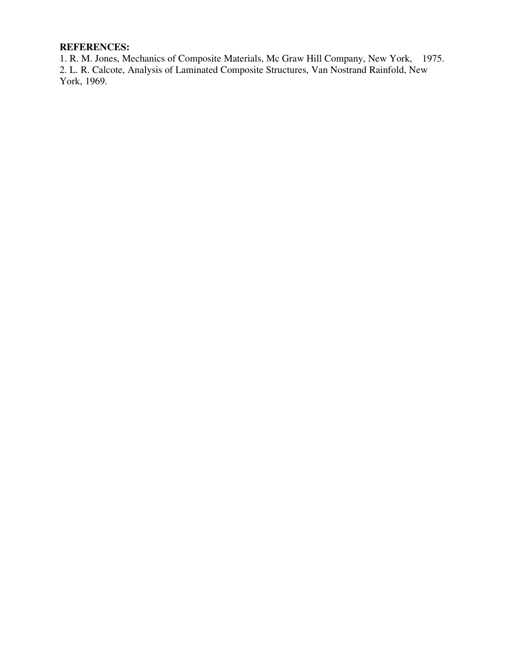# **REFERENCES:**

1. R. M. Jones, Mechanics of Composite Materials, Mc Graw Hill Company, New York, 1975. 2. L. R. Calcote, Analysis of Laminated Composite Structures, Van Nostrand Rainfold, New York, 1969.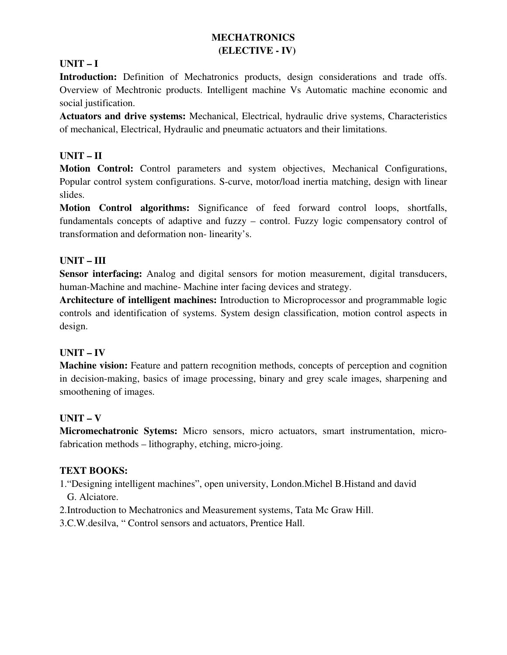# **MECHATRONICS (ELECTIVE - IV)**

# **UNIT – I**

**Introduction:** Definition of Mechatronics products, design considerations and trade offs. Overview of Mechtronic products. Intelligent machine Vs Automatic machine economic and social justification.

**Actuators and drive systems:** Mechanical, Electrical, hydraulic drive systems, Characteristics of mechanical, Electrical, Hydraulic and pneumatic actuators and their limitations.

# **UNIT – II**

**Motion Control:** Control parameters and system objectives, Mechanical Configurations, Popular control system configurations. S-curve, motor/load inertia matching, design with linear slides.

**Motion Control algorithms:** Significance of feed forward control loops, shortfalls, fundamentals concepts of adaptive and fuzzy – control. Fuzzy logic compensatory control of transformation and deformation non- linearity's.

# **UNIT – III**

**Sensor interfacing:** Analog and digital sensors for motion measurement, digital transducers, human-Machine and machine- Machine inter facing devices and strategy.

**Architecture of intelligent machines:** Introduction to Microprocessor and programmable logic controls and identification of systems. System design classification, motion control aspects in design.

# **UNIT – IV**

**Machine vision:** Feature and pattern recognition methods, concepts of perception and cognition in decision-making, basics of image processing, binary and grey scale images, sharpening and smoothening of images.

# **UNIT – V**

**Micromechatronic Sytems:** Micro sensors, micro actuators, smart instrumentation, microfabrication methods – lithography, etching, micro-joing.

# **TEXT BOOKS:**

1."Designing intelligent machines", open university, London.Michel B.Histand and david G. Alciatore.

2.Introduction to Mechatronics and Measurement systems, Tata Mc Graw Hill.

3.C.W.desilva, " Control sensors and actuators, Prentice Hall.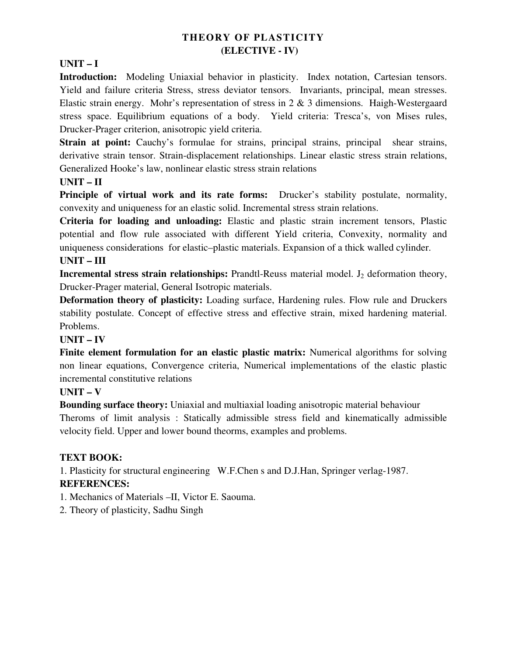# **THEORY OF PLASTICITY (ELECTIVE - IV)**

# **UNIT – I**

**Introduction:** Modeling Uniaxial behavior in plasticity. Index notation, Cartesian tensors. Yield and failure criteria Stress, stress deviator tensors. Invariants, principal, mean stresses. Elastic strain energy. Mohr's representation of stress in 2 & 3 dimensions. Haigh-Westergaard stress space. Equilibrium equations of a body. Yield criteria: Tresca's, von Mises rules, Drucker-Prager criterion, anisotropic yield criteria.

**Strain at point:** Cauchy's formulae for strains, principal strains, principal shear strains, derivative strain tensor. Strain-displacement relationships. Linear elastic stress strain relations, Generalized Hooke's law, nonlinear elastic stress strain relations

#### **UNIT – II**

**Principle of virtual work and its rate forms:** Drucker's stability postulate, normality, convexity and uniqueness for an elastic solid. Incremental stress strain relations.

**Criteria for loading and unloading:** Elastic and plastic strain increment tensors, Plastic potential and flow rule associated with different Yield criteria, Convexity, normality and uniqueness considerations for elastic–plastic materials. Expansion of a thick walled cylinder.

# **UNIT – III**

**Incremental stress strain relationships:** Prandtl-Reuss material model. J<sub>2</sub> deformation theory, Drucker-Prager material, General Isotropic materials.

**Deformation theory of plasticity:** Loading surface, Hardening rules. Flow rule and Druckers stability postulate. Concept of effective stress and effective strain, mixed hardening material. Problems.

# **UNIT – IV**

Finite element formulation for an elastic plastic matrix: Numerical algorithms for solving non linear equations, Convergence criteria, Numerical implementations of the elastic plastic incremental constitutive relations

# **UNIT – V**

**Bounding surface theory:** Uniaxial and multiaxial loading anisotropic material behaviour Theroms of limit analysis : Statically admissible stress field and kinematically admissible velocity field. Upper and lower bound theorms, examples and problems.

# **TEXT BOOK:**

1. Plasticity for structural engineering W.F.Chen s and D.J.Han, Springer verlag-1987.

# **REFERENCES:**

1. Mechanics of Materials –II, Victor E. Saouma.

2. Theory of plasticity, Sadhu Singh